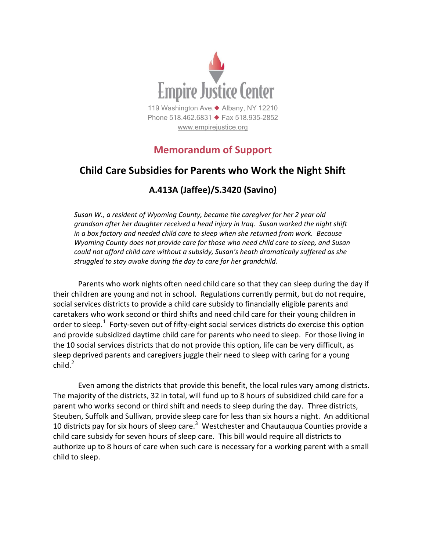

# **Memorandum of Support**

## **Child Care Subsidies for Parents who Work the Night Shift**

## **A.413A (Jaffee)/S.3420 (Savino)**

*Susan W., a resident of Wyoming County, became the caregiver for her 2 year old grandson after her daughter received a head injury in Iraq. Susan worked the night shift in a box factory and needed child care to sleep when she returned from work. Because Wyoming County does not provide care for those who need child care to sleep, and Susan could not afford child care without a subsidy, Susan's heath dramatically suffered as she struggled to stay awake during the day to care for her grandchild.*

Parents who work nights often need child care so that they can sleep during the day if their children are young and not in school. Regulations currently permit, but do not require, social services districts to provide a child care subsidy to financially eligible parents and caretakers who work second or third shifts and need child care for their young children in order to sleep.<sup>1</sup> Forty-seven out of fifty-eight social services districts do exercise this option and provide subsidized daytime child care for parents who need to sleep. For those living in the 10 social services districts that do not provide this option, life can be very difficult, as sleep deprived parents and caregivers juggle their need to sleep with caring for a young  $child<sup>2</sup>$ 

Even among the districts that provide this benefit, the local rules vary among districts. The majority of the districts, 32 in total, will fund up to 8 hours of subsidized child care for a parent who works second or third shift and needs to sleep during the day. Three districts, Steuben, Suffolk and Sullivan, provide sleep care for less than six hours a night. An additional 10 districts pay for six hours of sleep care.<sup>3</sup> Westchester and Chautauqua Counties provide a child care subsidy for seven hours of sleep care. This bill would require all districts to authorize up to 8 hours of care when such care is necessary for a working parent with a small child to sleep.